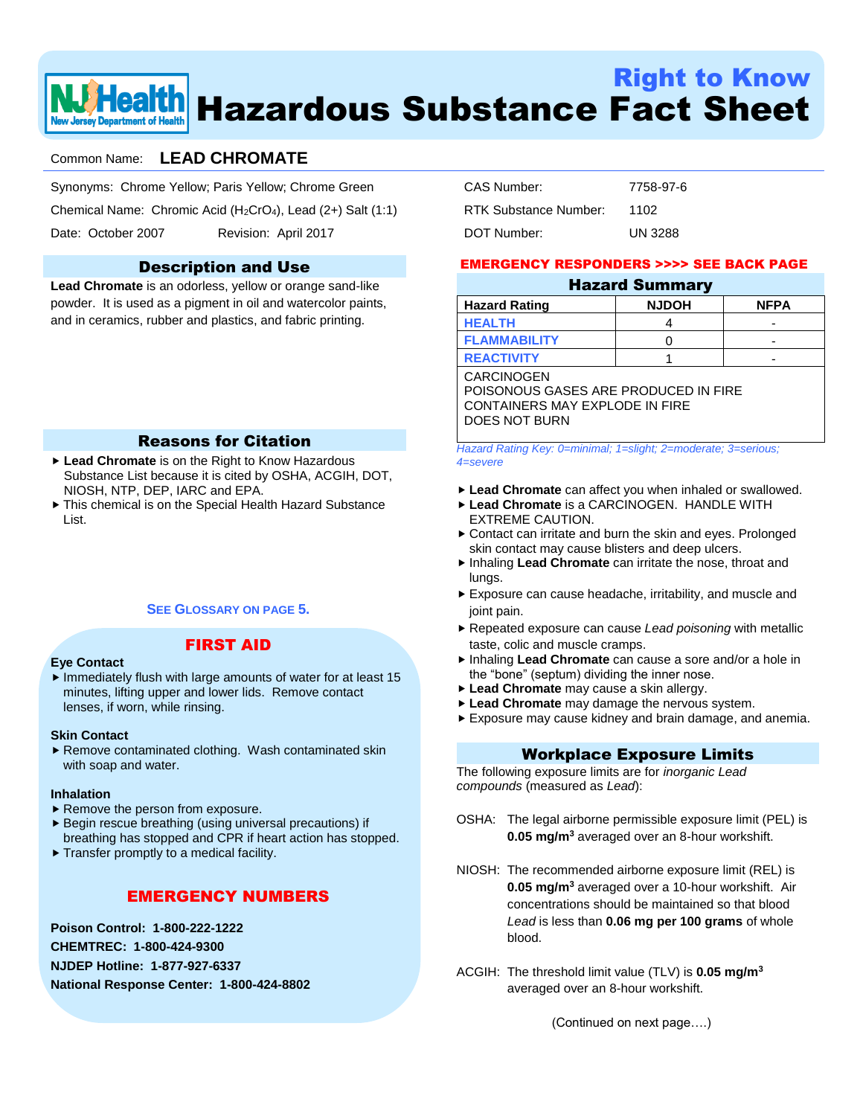

# Right to Know Health Hazardous Substance Fact Sheet

# Common Name: **LEAD CHROMATE**

Synonyms: Chrome Yellow; Paris Yellow; Chrome Green Chemical Name: Chromic Acid (H2CrO4), Lead (2+) Salt (1:1) Date: October 2007 Revision: April 2017

# Description and Use

**Lead Chromate** is an odorless, yellow or orange sand-like powder. It is used as a pigment in oil and watercolor paints, and in ceramics, rubber and plastics, and fabric printing.

### Reasons for Citation

- ► Lead Chromate is on the Right to Know Hazardous Substance List because it is cited by OSHA, ACGIH, DOT, NIOSH, NTP, DEP, IARC and EPA.
- This chemical is on the Special Health Hazard Substance List.

#### **SEE GLOSSARY ON PAGE 5.**

# FIRST AID

#### **Eye Contact**

 $\blacktriangleright$  Immediately flush with large amounts of water for at least 15 minutes, lifting upper and lower lids. Remove contact lenses, if worn, while rinsing.

#### **Skin Contact**

▶ Remove contaminated clothing. Wash contaminated skin with soap and water.

#### **Inhalation**

- ▶ Remove the person from exposure.
- $\triangleright$  Begin rescue breathing (using universal precautions) if breathing has stopped and CPR if heart action has stopped.
- $\triangleright$  Transfer promptly to a medical facility.

# EMERGENCY NUMBERS

**Poison Control: 1-800-222-1222 CHEMTREC: 1-800-424-9300 NJDEP Hotline: 1-877-927-6337 National Response Center: 1-800-424-8802**

| CAS Number:                  | 7758-97-6      |
|------------------------------|----------------|
| <b>RTK Substance Number:</b> | 1102           |
| DOT Number:                  | <b>UN 3288</b> |

#### EMERGENCY RESPONDERS >>>> SEE BACK PAGE

# Hazard Summary

| <b>Hazard Rating</b> | <b>NJDOH</b> | <b>NFPA</b> |
|----------------------|--------------|-------------|
| <b>HEALTH</b>        |              | -           |
| <b>FLAMMABILITY</b>  |              | -           |
| <b>REACTIVITY</b>    |              | -           |

CARCINOGEN

POISONOUS GASES ARE PRODUCED IN FIRE CONTAINERS MAY EXPLODE IN FIRE DOES NOT BURN

*Hazard Rating Key: 0=minimal; 1=slight; 2=moderate; 3=serious; 4=severe*

- **Lead Chromate** can affect you when inhaled or swallowed.
- **Lead Chromate** is a CARCINOGEN. HANDLE WITH EXTREME CAUTION.
- Contact can irritate and burn the skin and eyes. Prolonged skin contact may cause blisters and deep ulcers.
- Inhaling **Lead Chromate** can irritate the nose, throat and lungs.
- Exposure can cause headache, irritability, and muscle and joint pain.
- Repeated exposure can cause *Lead poisoning* with metallic taste, colic and muscle cramps.
- Inhaling **Lead Chromate** can cause a sore and/or a hole in the "bone" (septum) dividing the inner nose.
- **Lead Chromate** may cause a skin allergy.
- **Lead Chromate** may damage the nervous system.
- Exposure may cause kidney and brain damage, and anemia.

# Workplace Exposure Limits

The following exposure limits are for *inorganic Lead compounds* (measured as *Lead*):

- OSHA: The legal airborne permissible exposure limit (PEL) is **0.05 mg/m<sup>3</sup>** averaged over an 8-hour workshift.
- NIOSH: The recommended airborne exposure limit (REL) is **0.05 mg/m<sup>3</sup>** averaged over a 10-hour workshift. Air concentrations should be maintained so that blood *Lead* is less than **0.06 mg per 100 grams** of whole blood.
- ACGIH: The threshold limit value (TLV) is **0.05 mg/m<sup>3</sup>** averaged over an 8-hour workshift.

(Continued on next page….)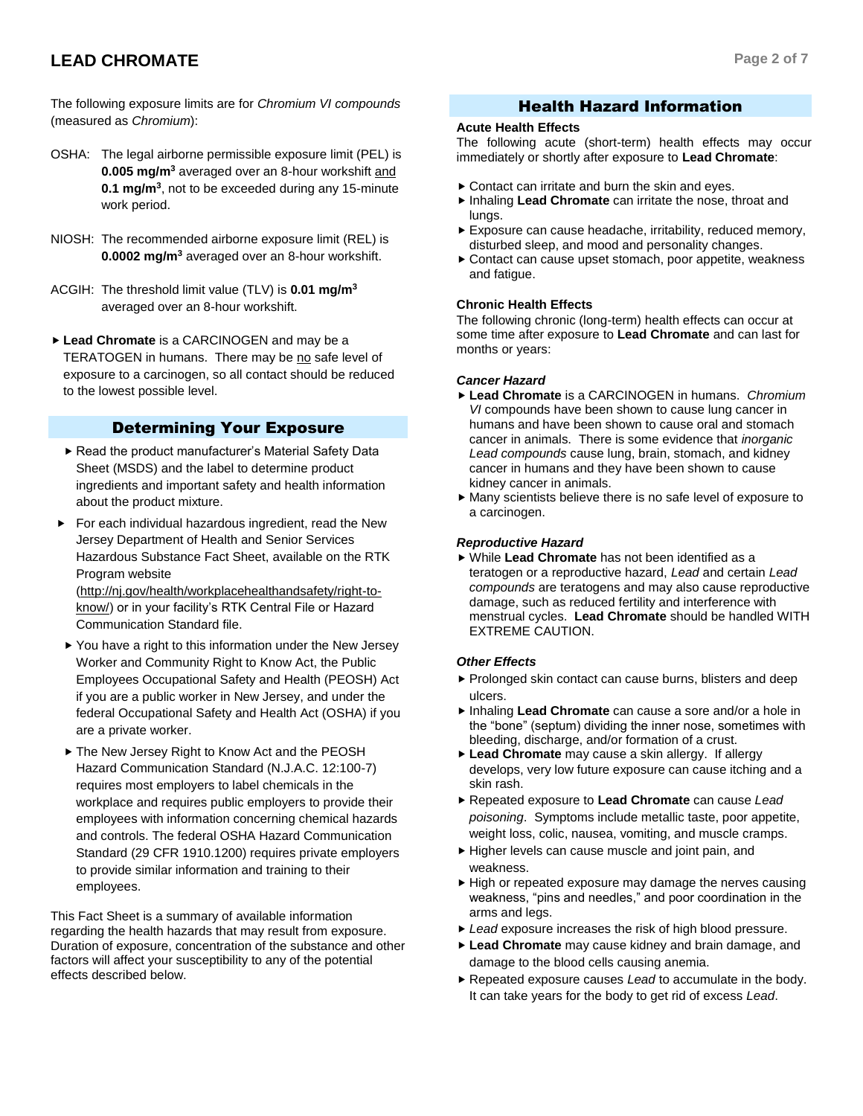# **LEAD CHROMATE Page 2 of 7**

The following exposure limits are for *Chromium VI compounds* (measured as *Chromium*):

- OSHA: The legal airborne permissible exposure limit (PEL) is **0.005 mg/m<sup>3</sup>** averaged over an 8-hour workshift and **0.1 mg/m<sup>3</sup>** , not to be exceeded during any 15-minute work period.
- NIOSH: The recommended airborne exposure limit (REL) is **0.0002 mg/m<sup>3</sup>** averaged over an 8-hour workshift.
- ACGIH: The threshold limit value (TLV) is **0.01 mg/m<sup>3</sup>** averaged over an 8-hour workshift.
- **Lead Chromate** is a CARCINOGEN and may be a TERATOGEN in humans. There may be no safe level of exposure to a carcinogen, so all contact should be reduced to the lowest possible level.

# Determining Your Exposure

- ▶ Read the product manufacturer's Material Safety Data Sheet (MSDS) and the label to determine product ingredients and important safety and health information about the product mixture.
- For each individual hazardous ingredient, read the New Jersey Department of Health and Senior Services Hazardous Substance Fact Sheet, available on the RTK Program website

(http://nj.gov/health/workplacehealthandsafety/right-toknow/) or in your facility's RTK Central File or Hazard Communication Standard file.

- ▶ You have a right to this information under the New Jersey Worker and Community Right to Know Act, the Public Employees Occupational Safety and Health (PEOSH) Act if you are a public worker in New Jersey, and under the federal Occupational Safety and Health Act (OSHA) if you are a private worker.
- ▶ The New Jersey Right to Know Act and the PEOSH Hazard Communication Standard (N.J.A.C. 12:100-7) requires most employers to label chemicals in the workplace and requires public employers to provide their employees with information concerning chemical hazards and controls. The federal OSHA Hazard Communication Standard (29 CFR 1910.1200) requires private employers to provide similar information and training to their employees.

This Fact Sheet is a summary of available information regarding the health hazards that may result from exposure. Duration of exposure, concentration of the substance and other factors will affect your susceptibility to any of the potential effects described below.

# Health Hazard Information

### **Acute Health Effects**

The following acute (short-term) health effects may occur immediately or shortly after exposure to **Lead Chromate**:

- ▶ Contact can irritate and burn the skin and eves.
- Inhaling **Lead Chromate** can irritate the nose, throat and lungs.
- Exposure can cause headache, irritability, reduced memory, disturbed sleep, and mood and personality changes.
- ▶ Contact can cause upset stomach, poor appetite, weakness and fatigue.

# **Chronic Health Effects**

The following chronic (long-term) health effects can occur at some time after exposure to **Lead Chromate** and can last for months or years:

#### *Cancer Hazard*

- **Lead Chromate** is a CARCINOGEN in humans. *Chromium VI* compounds have been shown to cause lung cancer in humans and have been shown to cause oral and stomach cancer in animals. There is some evidence that *inorganic Lead compounds* cause lung, brain, stomach, and kidney cancer in humans and they have been shown to cause kidney cancer in animals.
- Many scientists believe there is no safe level of exposure to a carcinogen.

#### *Reproductive Hazard*

 While **Lead Chromate** has not been identified as a teratogen or a reproductive hazard, *Lead* and certain *Lead compounds* are teratogens and may also cause reproductive damage, such as reduced fertility and interference with menstrual cycles. **Lead Chromate** should be handled WITH EXTREME CAUTION.

#### *Other Effects*

- ▶ Prolonged skin contact can cause burns, blisters and deep ulcers.
- Inhaling **Lead Chromate** can cause a sore and/or a hole in the "bone" (septum) dividing the inner nose, sometimes with bleeding, discharge, and/or formation of a crust.
- **Lead Chromate** may cause a skin allergy. If allergy develops, very low future exposure can cause itching and a skin rash.
- Repeated exposure to **Lead Chromate** can cause *Lead poisoning*. Symptoms include metallic taste, poor appetite, weight loss, colic, nausea, vomiting, and muscle cramps.
- Higher levels can cause muscle and joint pain, and weakness.
- High or repeated exposure may damage the nerves causing weakness, "pins and needles," and poor coordination in the arms and legs.
- *Lead* exposure increases the risk of high blood pressure.
- **Lead Chromate** may cause kidney and brain damage, and damage to the blood cells causing anemia.
- Repeated exposure causes *Lead* to accumulate in the body. It can take years for the body to get rid of excess *Lead*.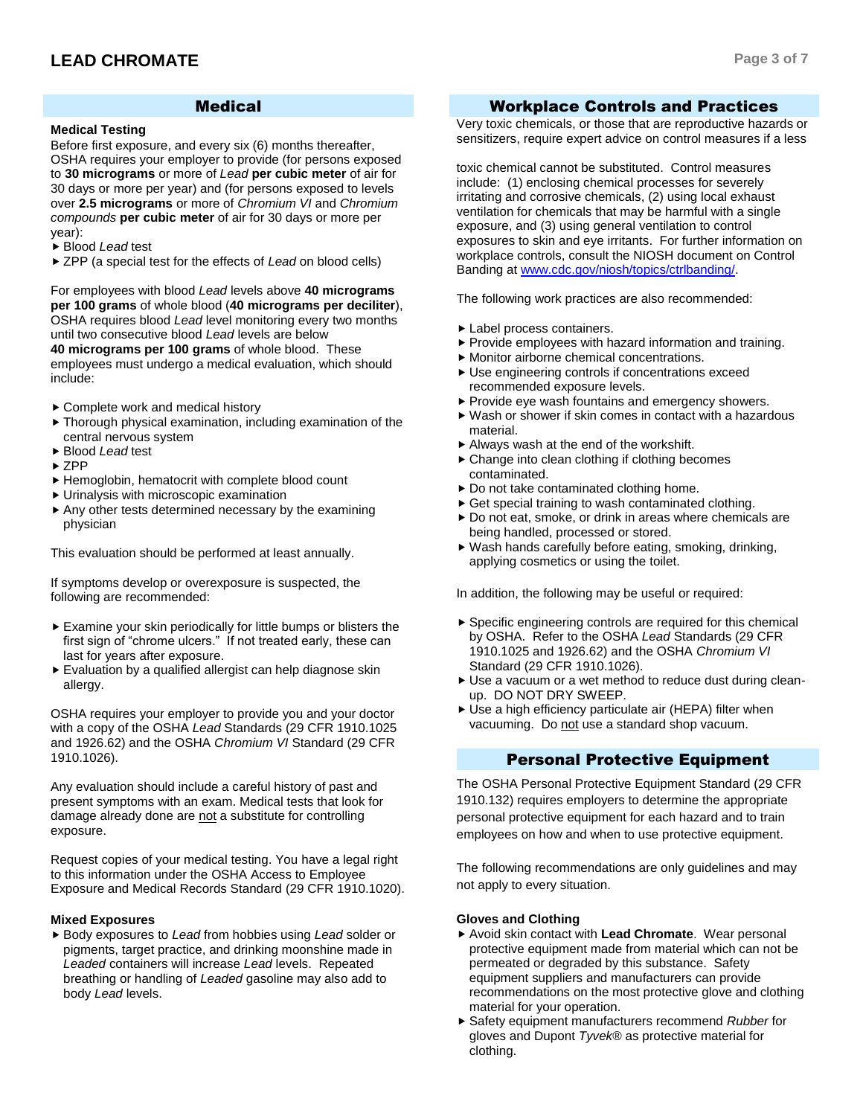### **Medical**

#### **Medical Testing**

Before first exposure, and every six (6) months thereafter, OSHA requires your employer to provide (for persons exposed to **30 micrograms** or more of *Lead* **per cubic meter** of air for 30 days or more per year) and (for persons exposed to levels over **2.5 micrograms** or more of *Chromium VI* and *Chromium compounds* **per cubic meter** of air for 30 days or more per year):

- Blood *Lead* test
- ZPP (a special test for the effects of *Lead* on blood cells)

For employees with blood *Lead* levels above **40 micrograms per 100 grams** of whole blood (**40 micrograms per deciliter**), OSHA requires blood *Lead* level monitoring every two months until two consecutive blood *Lead* levels are below **40 micrograms per 100 grams** of whole blood. These employees must undergo a medical evaluation, which should include:

- ▶ Complete work and medical history
- Thorough physical examination, including examination of the central nervous system
- Blood *Lead* test
- $\triangleright$  ZPP
- Hemoglobin, hematocrit with complete blood count
- Urinalysis with microscopic examination
- Any other tests determined necessary by the examining physician

This evaluation should be performed at least annually.

If symptoms develop or overexposure is suspected, the following are recommended:

- Examine your skin periodically for little bumps or blisters the first sign of "chrome ulcers." If not treated early, these can last for years after exposure.
- Evaluation by a qualified allergist can help diagnose skin allergy.

OSHA requires your employer to provide you and your doctor with a copy of the OSHA *Lead* Standards (29 CFR 1910.1025 and 1926.62) and the OSHA *Chromium VI* Standard (29 CFR 1910.1026).

Any evaluation should include a careful history of past and present symptoms with an exam. Medical tests that look for damage already done are not a substitute for controlling exposure.

Request copies of your medical testing. You have a legal right to this information under the OSHA Access to Employee Exposure and Medical Records Standard (29 CFR 1910.1020).

#### **Mixed Exposures**

 Body exposures to *Lead* from hobbies using *Lead* solder or pigments, target practice, and drinking moonshine made in *Leaded* containers will increase *Lead* levels. Repeated breathing or handling of *Leaded* gasoline may also add to body *Lead* levels.

### Workplace Controls and Practices

Very toxic chemicals, or those that are reproductive hazards or sensitizers, require expert advice on control measures if a less

toxic chemical cannot be substituted. Control measures include: (1) enclosing chemical processes for severely irritating and corrosive chemicals, (2) using local exhaust ventilation for chemicals that may be harmful with a single exposure, and (3) using general ventilation to control exposures to skin and eye irritants. For further information on workplace controls, consult the NIOSH document on Control Banding a[t www.cdc.gov/niosh/topics/ctrlbanding/.](http://www.cdc.gov/niosh/topics/ctrlbanding/)

The following work practices are also recommended:

- ▶ Label process containers.
- Provide employees with hazard information and training.
- Monitor airborne chemical concentrations.
- Use engineering controls if concentrations exceed recommended exposure levels.
- **Provide eye wash fountains and emergency showers.**
- Wash or shower if skin comes in contact with a hazardous material.
- Always wash at the end of the workshift.
- ▶ Change into clean clothing if clothing becomes contaminated.
- Do not take contaminated clothing home.
- Get special training to wash contaminated clothing.
- Do not eat, smoke, or drink in areas where chemicals are being handled, processed or stored.
- Wash hands carefully before eating, smoking, drinking, applying cosmetics or using the toilet.

In addition, the following may be useful or required:

- Specific engineering controls are required for this chemical by OSHA. Refer to the OSHA *Lead* Standards (29 CFR 1910.1025 and 1926.62) and the OSHA *Chromium VI* Standard (29 CFR 1910.1026).
- Use a vacuum or a wet method to reduce dust during cleanup. DO NOT DRY SWEEP.
- Use a high efficiency particulate air (HEPA) filter when vacuuming. Do not use a standard shop vacuum.

# Personal Protective Equipment

The OSHA Personal Protective Equipment Standard (29 CFR 1910.132) requires employers to determine the appropriate personal protective equipment for each hazard and to train employees on how and when to use protective equipment.

The following recommendations are only guidelines and may not apply to every situation.

#### **Gloves and Clothing**

- Avoid skin contact with **Lead Chromate**. Wear personal protective equipment made from material which can not be permeated or degraded by this substance. Safety equipment suppliers and manufacturers can provide recommendations on the most protective glove and clothing material for your operation.
- Safety equipment manufacturers recommend *Rubber* for gloves and Dupont *Tyvek*® as protective material for clothing.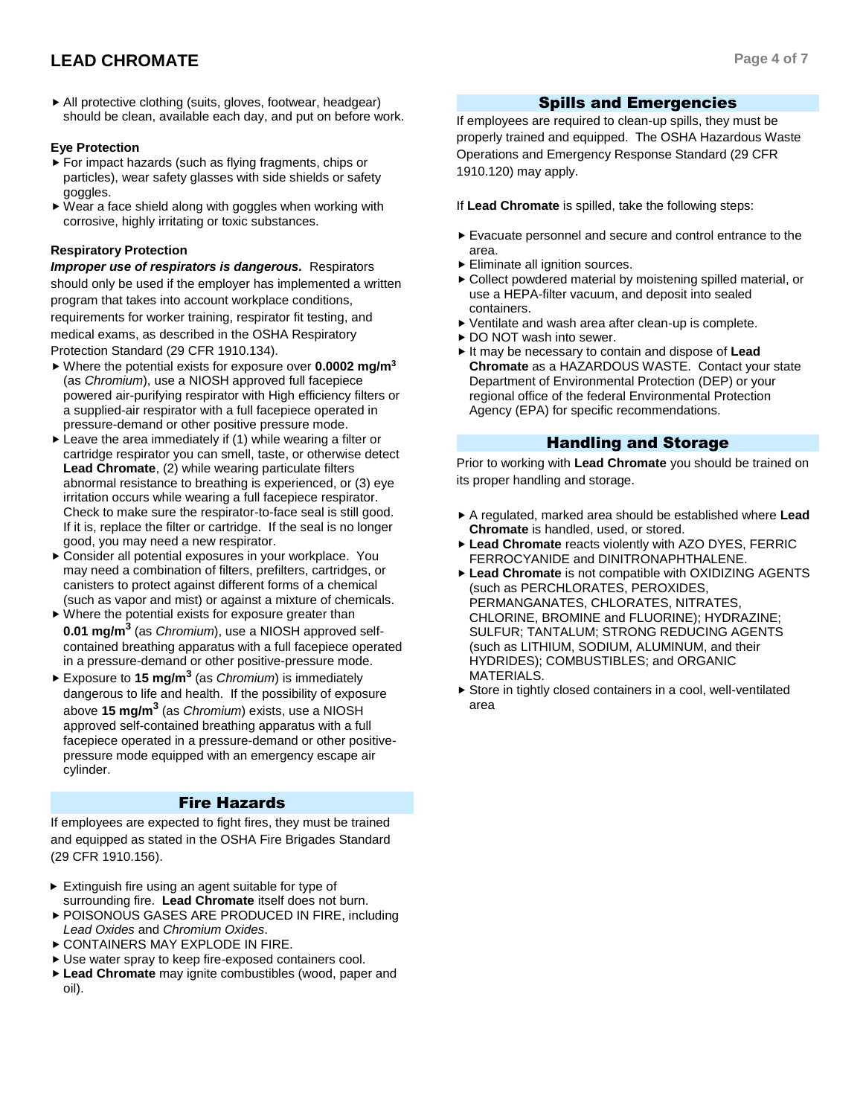# **LEAD CHROMATE Page 4 of 7**

 All protective clothing (suits, gloves, footwear, headgear) should be clean, available each day, and put on before work.

### **Eye Protection**

- ▶ For impact hazards (such as flying fragments, chips or particles), wear safety glasses with side shields or safety goggles.
- Wear a face shield along with goggles when working with corrosive, highly irritating or toxic substances.

### **Respiratory Protection**

*Improper use of respirators is dangerous.* Respirators should only be used if the employer has implemented a written program that takes into account workplace conditions, requirements for worker training, respirator fit testing, and medical exams, as described in the OSHA Respiratory Protection Standard (29 CFR 1910.134).

- Where the potential exists for exposure over **0.0002 mg/m<sup>3</sup>** (as *Chromium*), use a NIOSH approved full facepiece powered air-purifying respirator with High efficiency filters or a supplied-air respirator with a full facepiece operated in pressure-demand or other positive pressure mode.
- $\blacktriangleright$  Leave the area immediately if (1) while wearing a filter or cartridge respirator you can smell, taste, or otherwise detect **Lead Chromate**, (2) while wearing particulate filters abnormal resistance to breathing is experienced, or (3) eye irritation occurs while wearing a full facepiece respirator. Check to make sure the respirator-to-face seal is still good. If it is, replace the filter or cartridge. If the seal is no longer good, you may need a new respirator.
- Consider all potential exposures in your workplace. You may need a combination of filters, prefilters, cartridges, or canisters to protect against different forms of a chemical (such as vapor and mist) or against a mixture of chemicals.
- Where the potential exists for exposure greater than **0.01 mg/m<sup>3</sup>** (as *Chromium*), use a NIOSH approved selfcontained breathing apparatus with a full facepiece operated in a pressure-demand or other positive-pressure mode.
- Exposure to **15 mg/m<sup>3</sup>** (as *Chromium*) is immediately dangerous to life and health. If the possibility of exposure above **15 mg/m<sup>3</sup>** (as *Chromium*) exists, use a NIOSH approved self-contained breathing apparatus with a full facepiece operated in a pressure-demand or other positivepressure mode equipped with an emergency escape air cylinder.

# Fire Hazards

If employees are expected to fight fires, they must be trained and equipped as stated in the OSHA Fire Brigades Standard (29 CFR 1910.156).

- Extinguish fire using an agent suitable for type of surrounding fire. **Lead Chromate** itself does not burn.
- ▶ POISONOUS GASES ARE PRODUCED IN FIRE, including *Lead Oxides* and *Chromium Oxides*.
- CONTAINERS MAY EXPLODE IN FIRE.
- Use water spray to keep fire-exposed containers cool.
- **Lead Chromate** may ignite combustibles (wood, paper and oil).

# Spills and Emergencies

If employees are required to clean-up spills, they must be properly trained and equipped. The OSHA Hazardous Waste Operations and Emergency Response Standard (29 CFR 1910.120) may apply.

If **Lead Chromate** is spilled, take the following steps:

- Evacuate personnel and secure and control entrance to the area.
- Eliminate all ignition sources.
- Collect powdered material by moistening spilled material, or use a HEPA-filter vacuum, and deposit into sealed containers.
- Ventilate and wash area after clean-up is complete.
- ▶ DO NOT wash into sewer.
- ► It may be necessary to contain and dispose of Lead **Chromate** as a HAZARDOUS WASTE. Contact your state Department of Environmental Protection (DEP) or your regional office of the federal Environmental Protection Agency (EPA) for specific recommendations.

# Handling and Storage

Prior to working with **Lead Chromate** you should be trained on its proper handling and storage.

- A regulated, marked area should be established where **Lead Chromate** is handled, used, or stored.
- **Lead Chromate** reacts violently with AZO DYES, FERRIC FERROCYANIDE and DINITRONAPHTHALENE.
- **Lead Chromate** is not compatible with OXIDIZING AGENTS (such as PERCHLORATES, PEROXIDES, PERMANGANATES, CHLORATES, NITRATES, CHLORINE, BROMINE and FLUORINE); HYDRAZINE; SULFUR; TANTALUM; STRONG REDUCING AGENTS (such as LITHIUM, SODIUM, ALUMINUM, and their HYDRIDES); COMBUSTIBLES; and ORGANIC MATERIALS.
- Store in tightly closed containers in a cool, well-ventilated area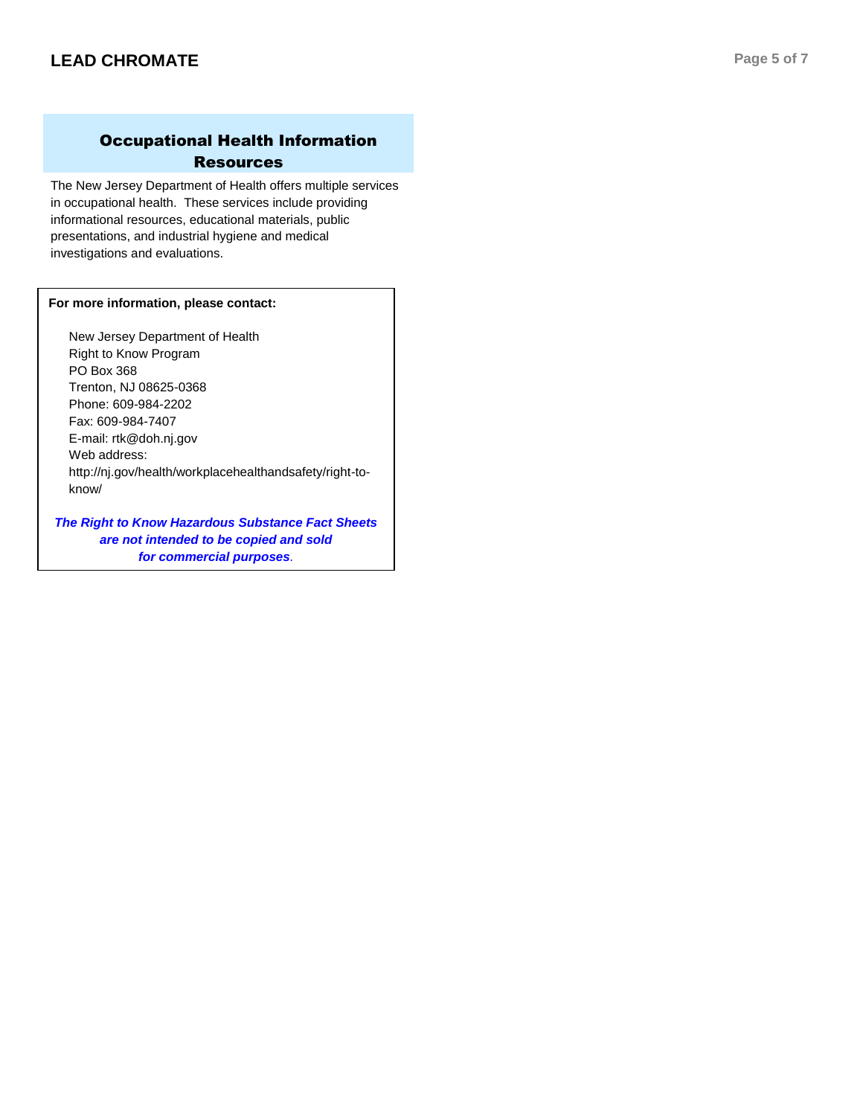# Occupational Health Information **Resources**

The New Jersey Department of Health offers multiple services in occupational health. These services include providing informational resources, educational materials, public presentations, and industrial hygiene and medical investigations and evaluations.

#### **For more information, please contact:**

New Jersey Department of Health Right to Know Program PO Box 368 Trenton, NJ 08625-0368 Phone: 609-984-2202 Fax: 609-984-7407 E-mail: rtk@doh.nj.gov Web address: http://nj.gov/health/workplacehealthandsafety/right-toknow/

*The Right to Know Hazardous Substance Fact Sheets are not intended to be copied and sold for commercial purposes.*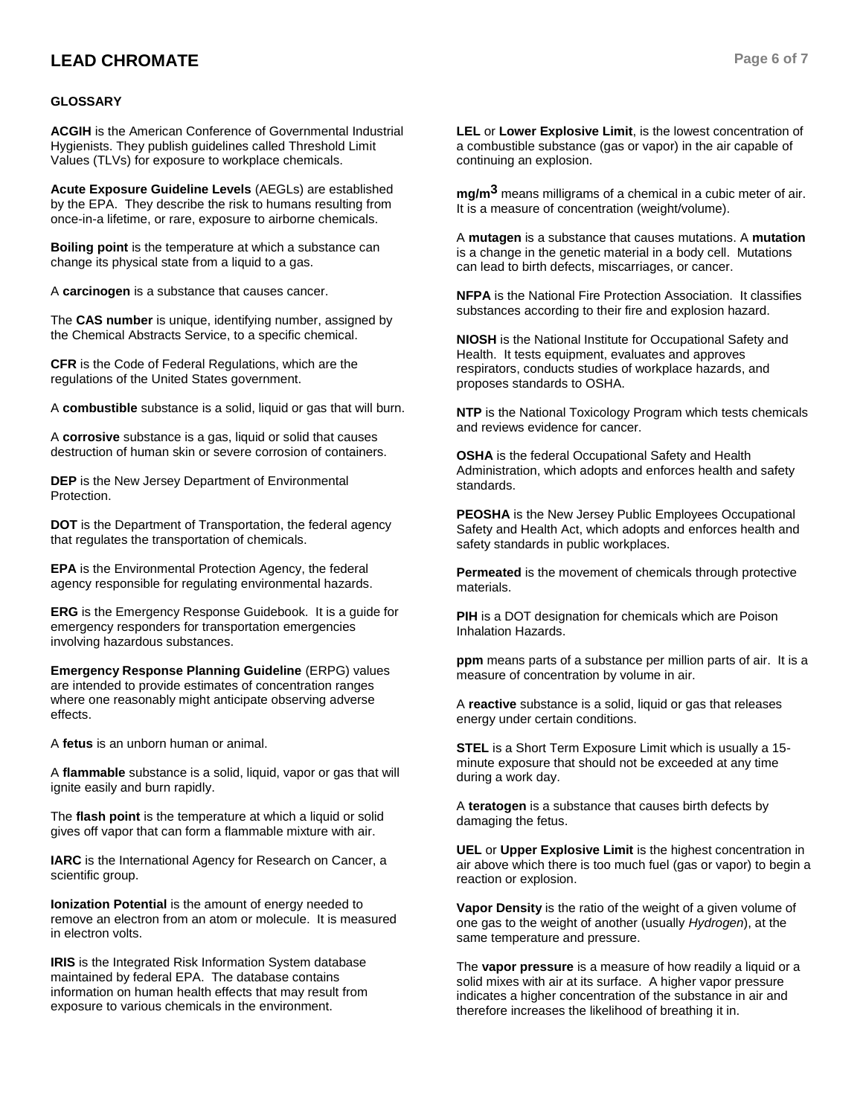# **LEAD CHROMATE Page 6 of 7**

#### **GLOSSARY**

**ACGIH** is the American Conference of Governmental Industrial Hygienists. They publish guidelines called Threshold Limit Values (TLVs) for exposure to workplace chemicals.

**Acute Exposure Guideline Levels** (AEGLs) are established by the EPA. They describe the risk to humans resulting from once-in-a lifetime, or rare, exposure to airborne chemicals.

**Boiling point** is the temperature at which a substance can change its physical state from a liquid to a gas.

A **carcinogen** is a substance that causes cancer.

The **CAS number** is unique, identifying number, assigned by the Chemical Abstracts Service, to a specific chemical.

**CFR** is the Code of Federal Regulations, which are the regulations of the United States government.

A **combustible** substance is a solid, liquid or gas that will burn.

A **corrosive** substance is a gas, liquid or solid that causes destruction of human skin or severe corrosion of containers.

**DEP** is the New Jersey Department of Environmental Protection.

**DOT** is the Department of Transportation, the federal agency that regulates the transportation of chemicals.

**EPA** is the Environmental Protection Agency, the federal agency responsible for regulating environmental hazards.

**ERG** is the Emergency Response Guidebook. It is a guide for emergency responders for transportation emergencies involving hazardous substances.

**Emergency Response Planning Guideline** (ERPG) values are intended to provide estimates of concentration ranges where one reasonably might anticipate observing adverse effects.

A **fetus** is an unborn human or animal.

A **flammable** substance is a solid, liquid, vapor or gas that will ignite easily and burn rapidly.

The **flash point** is the temperature at which a liquid or solid gives off vapor that can form a flammable mixture with air.

**IARC** is the International Agency for Research on Cancer, a scientific group.

**Ionization Potential** is the amount of energy needed to remove an electron from an atom or molecule. It is measured in electron volts.

**IRIS** is the Integrated Risk Information System database maintained by federal EPA. The database contains information on human health effects that may result from exposure to various chemicals in the environment.

**LEL** or **Lower Explosive Limit**, is the lowest concentration of a combustible substance (gas or vapor) in the air capable of continuing an explosion.

**mg/m3** means milligrams of a chemical in a cubic meter of air. It is a measure of concentration (weight/volume).

A **mutagen** is a substance that causes mutations. A **mutation** is a change in the genetic material in a body cell. Mutations can lead to birth defects, miscarriages, or cancer.

**NFPA** is the National Fire Protection Association. It classifies substances according to their fire and explosion hazard.

**NIOSH** is the National Institute for Occupational Safety and Health. It tests equipment, evaluates and approves respirators, conducts studies of workplace hazards, and proposes standards to OSHA.

**NTP** is the National Toxicology Program which tests chemicals and reviews evidence for cancer.

**OSHA** is the federal Occupational Safety and Health Administration, which adopts and enforces health and safety standards.

**PEOSHA** is the New Jersey Public Employees Occupational Safety and Health Act, which adopts and enforces health and safety standards in public workplaces.

**Permeated** is the movement of chemicals through protective materials.

**PIH** is a DOT designation for chemicals which are Poison Inhalation Hazards.

**ppm** means parts of a substance per million parts of air. It is a measure of concentration by volume in air.

A **reactive** substance is a solid, liquid or gas that releases energy under certain conditions.

**STEL** is a Short Term Exposure Limit which is usually a 15 minute exposure that should not be exceeded at any time during a work day.

A **teratogen** is a substance that causes birth defects by damaging the fetus.

**UEL** or **Upper Explosive Limit** is the highest concentration in air above which there is too much fuel (gas or vapor) to begin a reaction or explosion.

**Vapor Density** is the ratio of the weight of a given volume of one gas to the weight of another (usually *Hydrogen*), at the same temperature and pressure.

The **vapor pressure** is a measure of how readily a liquid or a solid mixes with air at its surface. A higher vapor pressure indicates a higher concentration of the substance in air and therefore increases the likelihood of breathing it in.